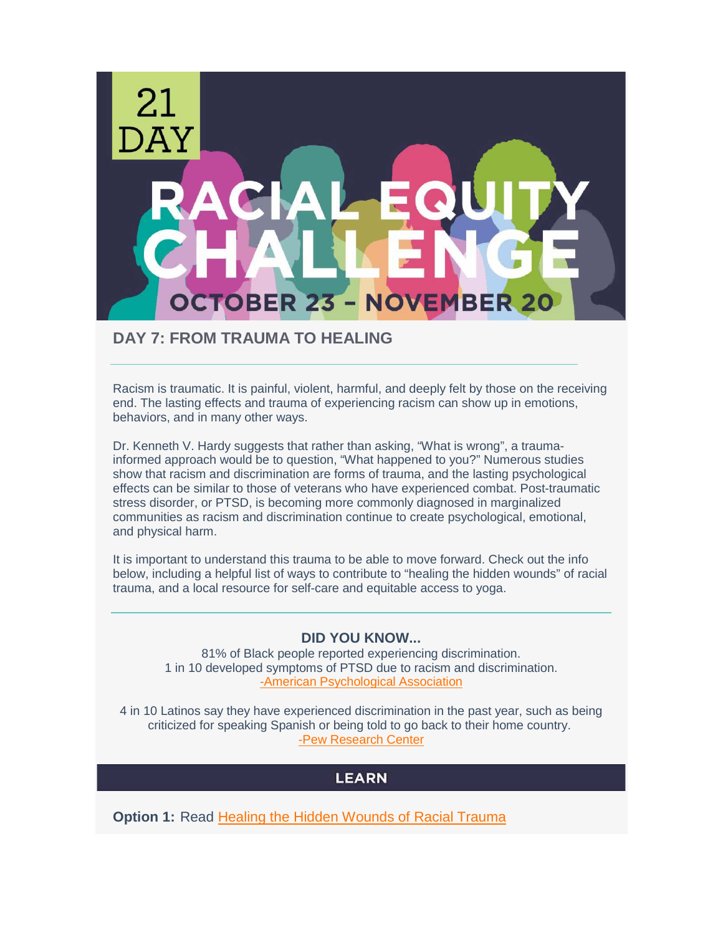

### **DAY 7: FROM TRAUMA TO HEALING**

Racism is traumatic. It is painful, violent, harmful, and deeply felt by those on the receiving end. The lasting effects and trauma of experiencing racism can show up in emotions, behaviors, and in many other ways.

Dr. Kenneth V. Hardy suggests that rather than asking, "What is wrong", a traumainformed approach would be to question, "What happened to you?" Numerous studies show that racism and discrimination are forms of trauma, and the lasting psychological effects can be similar to those of veterans who have experienced combat. Post-traumatic stress disorder, or PTSD, is becoming more commonly diagnosed in marginalized communities as racism and discrimination continue to create psychological, emotional, and physical harm.

It is important to understand this trauma to be able to move forward. Check out the info below, including a helpful list of ways to contribute to "healing the hidden wounds" of racial trauma, and a local resource for self-care and equitable access to yoga.

#### **DID YOU KNOW...**

81% of Black people reported experiencing discrimination. 1 in 10 developed symptoms of PTSD due to racism and discrimination. [-American Psychological Association](https://www.psychologytoday.com/us/blog/culturally-speaking/201509/the-link-between-racism-and-ptsd)

4 in 10 Latinos say they have experienced discrimination in the past year, such as being criticized for speaking Spanish or being told to go back to their home country. [-Pew Research Center](https://www.pewresearch.org/hispanic/2018/10/25/latinos-and-discrimination/)

## **LEARN**

**Option 1:** Read [Healing the Hidden Wounds of Racial Trauma](https://static1.squarespace.com/static/545cdfcce4b0a64725b9f65a/t/54da3451e4b0ac9bd1d1cd30/1423586385564/Healing.pdf)